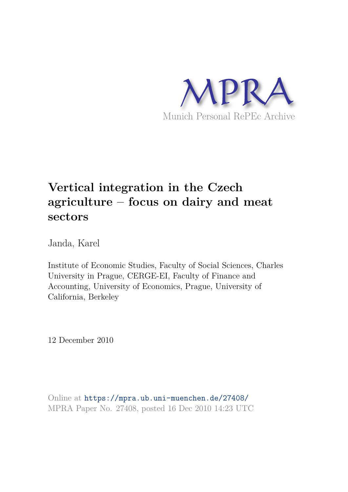

# **Vertical integration in the Czech agriculture – focus on dairy and meat sectors**

Janda, Karel

Institute of Economic Studies, Faculty of Social Sciences, Charles University in Prague, CERGE-EI, Faculty of Finance and Accounting, University of Economics, Prague, University of California, Berkeley

12 December 2010

Online at https://mpra.ub.uni-muenchen.de/27408/ MPRA Paper No. 27408, posted 16 Dec 2010 14:23 UTC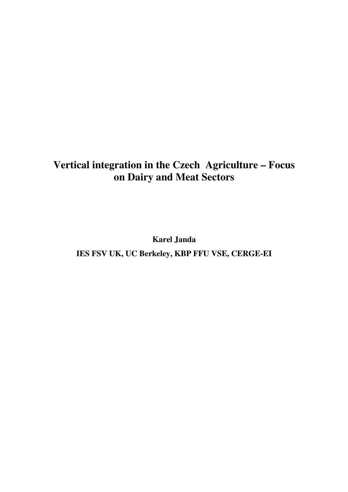# **Vertical integration in the Czech Agriculture – Focus on Dairy and Meat Sectors**

**Karel Janda** 

**IES FSV UK, UC Berkeley, KBP FFU VSE, CERGE-EI**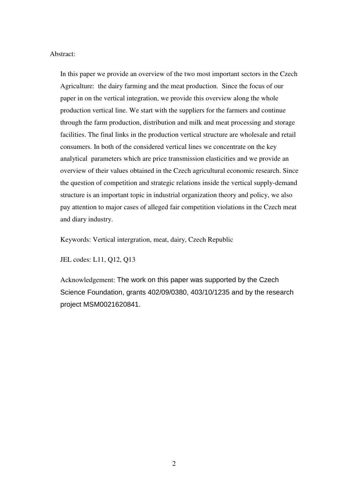Abstract:

In this paper we provide an overview of the two most important sectors in the Czech Agriculture: the dairy farming and the meat production. Since the focus of our paper in on the vertical integration, we provide this overview along the whole production vertical line. We start with the suppliers for the farmers and continue through the farm production, distribution and milk and meat processing and storage facilities. The final links in the production vertical structure are wholesale and retail consumers. In both of the considered vertical lines we concentrate on the key analytical parameters which are price transmission elasticities and we provide an overview of their values obtained in the Czech agricultural economic research. Since the question of competition and strategic relations inside the vertical supply-demand structure is an important topic in industrial organization theory and policy, we also pay attention to major cases of alleged fair competition violations in the Czech meat and diary industry.

Keywords: Vertical intergration, meat, dairy, Czech Republic

JEL codes: L11, Q12, Q13

Acknowledgement: The work on this paper was supported by the Czech Science Foundation, grants 402/09/0380, 403/10/1235 and by the research project MSM0021620841.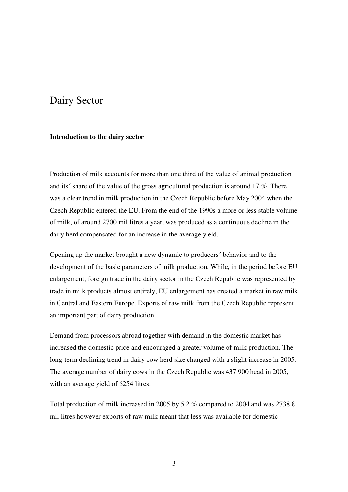# Dairy Sector

#### **Introduction to the dairy sector**

Production of milk accounts for more than one third of the value of animal production and its´ share of the value of the gross agricultural production is around 17 %. There was a clear trend in milk production in the Czech Republic before May 2004 when the Czech Republic entered the EU. From the end of the 1990s a more or less stable volume of milk, of around 2700 mil litres a year, was produced as a continuous decline in the dairy herd compensated for an increase in the average yield.

Opening up the market brought a new dynamic to producers´ behavior and to the development of the basic parameters of milk production. While, in the period before EU enlargement, foreign trade in the dairy sector in the Czech Republic was represented by trade in milk products almost entirely, EU enlargement has created a market in raw milk in Central and Eastern Europe. Exports of raw milk from the Czech Republic represent an important part of dairy production.

Demand from processors abroad together with demand in the domestic market has increased the domestic price and encouraged a greater volume of milk production. The long-term declining trend in dairy cow herd size changed with a slight increase in 2005. The average number of dairy cows in the Czech Republic was 437 900 head in 2005, with an average yield of 6254 litres.

Total production of milk increased in 2005 by 5.2 % compared to 2004 and was 2738.8 mil litres however exports of raw milk meant that less was available for domestic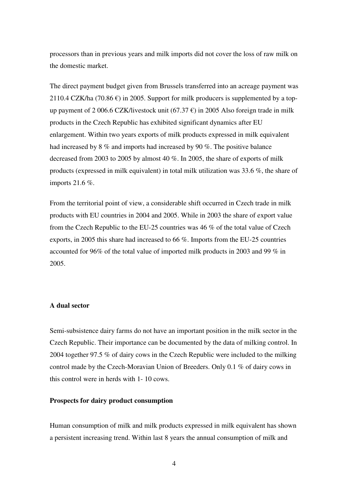processors than in previous years and milk imports did not cover the loss of raw milk on the domestic market.

The direct payment budget given from Brussels transferred into an acreage payment was 2110.4 CZK/ha (70.86  $\epsilon$ ) in 2005. Support for milk producers is supplemented by a topup payment of 2 006.6 CZK/livestock unit (67.37  $\epsilon$ ) in 2005 Also foreign trade in milk products in the Czech Republic has exhibited significant dynamics after EU enlargement. Within two years exports of milk products expressed in milk equivalent had increased by 8 % and imports had increased by 90 %. The positive balance decreased from 2003 to 2005 by almost 40 %. In 2005, the share of exports of milk products (expressed in milk equivalent) in total milk utilization was 33.6 %, the share of imports 21.6 %.

From the territorial point of view, a considerable shift occurred in Czech trade in milk products with EU countries in 2004 and 2005. While in 2003 the share of export value from the Czech Republic to the EU-25 countries was 46 % of the total value of Czech exports, in 2005 this share had increased to 66 %. Imports from the EU-25 countries accounted for 96% of the total value of imported milk products in 2003 and 99 % in 2005.

#### **A dual sector**

Semi-subsistence dairy farms do not have an important position in the milk sector in the Czech Republic. Their importance can be documented by the data of milking control. In 2004 together 97.5 % of dairy cows in the Czech Republic were included to the milking control made by the Czech-Moravian Union of Breeders. Only 0.1 % of dairy cows in this control were in herds with 1- 10 cows.

#### **Prospects for dairy product consumption**

Human consumption of milk and milk products expressed in milk equivalent has shown a persistent increasing trend. Within last 8 years the annual consumption of milk and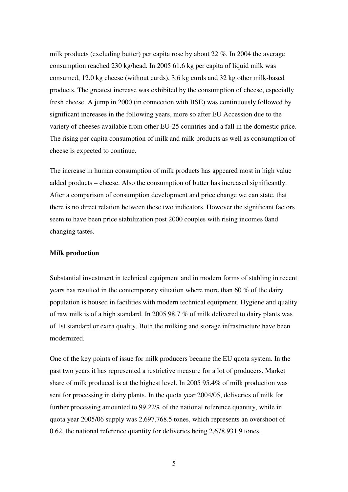milk products (excluding butter) per capita rose by about 22 %. In 2004 the average consumption reached 230 kg/head. In 2005 61.6 kg per capita of liquid milk was consumed, 12.0 kg cheese (without curds), 3.6 kg curds and 32 kg other milk-based products. The greatest increase was exhibited by the consumption of cheese, especially fresh cheese. A jump in 2000 (in connection with BSE) was continuously followed by significant increases in the following years, more so after EU Accession due to the variety of cheeses available from other EU-25 countries and a fall in the domestic price. The rising per capita consumption of milk and milk products as well as consumption of cheese is expected to continue.

The increase in human consumption of milk products has appeared most in high value added products – cheese. Also the consumption of butter has increased significantly. After a comparison of consumption development and price change we can state, that there is no direct relation between these two indicators. However the significant factors seem to have been price stabilization post 2000 couples with rising incomes 0and changing tastes.

#### **Milk production**

Substantial investment in technical equipment and in modern forms of stabling in recent years has resulted in the contemporary situation where more than 60 % of the dairy population is housed in facilities with modern technical equipment. Hygiene and quality of raw milk is of a high standard. In 2005 98.7 % of milk delivered to dairy plants was of 1st standard or extra quality. Both the milking and storage infrastructure have been modernized.

One of the key points of issue for milk producers became the EU quota system. In the past two years it has represented a restrictive measure for a lot of producers. Market share of milk produced is at the highest level. In 2005 95.4% of milk production was sent for processing in dairy plants. In the quota year 2004/05, deliveries of milk for further processing amounted to 99.22% of the national reference quantity, while in quota year 2005/06 supply was 2,697,768.5 tones, which represents an overshoot of 0.62, the national reference quantity for deliveries being 2,678,931.9 tones.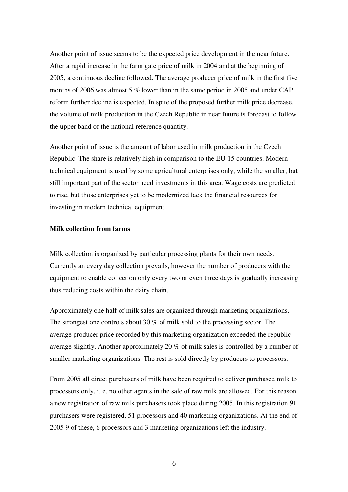Another point of issue seems to be the expected price development in the near future. After a rapid increase in the farm gate price of milk in 2004 and at the beginning of 2005, a continuous decline followed. The average producer price of milk in the first five months of 2006 was almost 5 % lower than in the same period in 2005 and under CAP reform further decline is expected. In spite of the proposed further milk price decrease, the volume of milk production in the Czech Republic in near future is forecast to follow the upper band of the national reference quantity.

Another point of issue is the amount of labor used in milk production in the Czech Republic. The share is relatively high in comparison to the EU-15 countries. Modern technical equipment is used by some agricultural enterprises only, while the smaller, but still important part of the sector need investments in this area. Wage costs are predicted to rise, but those enterprises yet to be modernized lack the financial resources for investing in modern technical equipment.

#### **Milk collection from farms**

Milk collection is organized by particular processing plants for their own needs. Currently an every day collection prevails, however the number of producers with the equipment to enable collection only every two or even three days is gradually increasing thus reducing costs within the dairy chain.

Approximately one half of milk sales are organized through marketing organizations. The strongest one controls about 30 % of milk sold to the processing sector. The average producer price recorded by this marketing organization exceeded the republic average slightly. Another approximately 20 % of milk sales is controlled by a number of smaller marketing organizations. The rest is sold directly by producers to processors.

From 2005 all direct purchasers of milk have been required to deliver purchased milk to processors only, i. e. no other agents in the sale of raw milk are allowed. For this reason a new registration of raw milk purchasers took place during 2005. In this registration 91 purchasers were registered, 51 processors and 40 marketing organizations. At the end of 2005 9 of these, 6 processors and 3 marketing organizations left the industry.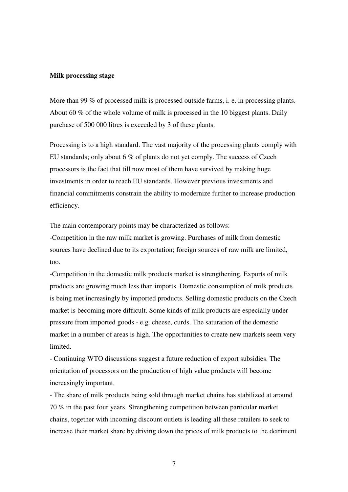#### **Milk processing stage**

More than 99 % of processed milk is processed outside farms, i. e. in processing plants. About 60 % of the whole volume of milk is processed in the 10 biggest plants. Daily purchase of 500 000 litres is exceeded by 3 of these plants.

Processing is to a high standard. The vast majority of the processing plants comply with EU standards; only about 6 % of plants do not yet comply. The success of Czech processors is the fact that till now most of them have survived by making huge investments in order to reach EU standards. However previous investments and financial commitments constrain the ability to modernize further to increase production efficiency.

The main contemporary points may be characterized as follows:

-Competition in the raw milk market is growing. Purchases of milk from domestic sources have declined due to its exportation; foreign sources of raw milk are limited, too.

-Competition in the domestic milk products market is strengthening. Exports of milk products are growing much less than imports. Domestic consumption of milk products is being met increasingly by imported products. Selling domestic products on the Czech market is becoming more difficult. Some kinds of milk products are especially under pressure from imported goods - e.g. cheese, curds. The saturation of the domestic market in a number of areas is high. The opportunities to create new markets seem very **limited** 

- Continuing WTO discussions suggest a future reduction of export subsidies. The orientation of processors on the production of high value products will become increasingly important.

- The share of milk products being sold through market chains has stabilized at around 70 % in the past four years. Strengthening competition between particular market chains, together with incoming discount outlets is leading all these retailers to seek to increase their market share by driving down the prices of milk products to the detriment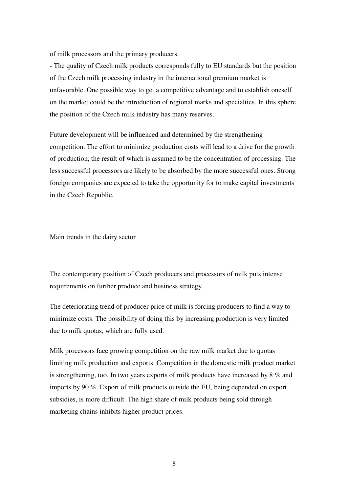of milk processors and the primary producers.

- The quality of Czech milk products corresponds fully to EU standards but the position of the Czech milk processing industry in the international premium market is unfavorable. One possible way to get a competitive advantage and to establish oneself on the market could be the introduction of regional marks and specialties. In this sphere the position of the Czech milk industry has many reserves.

Future development will be influenced and determined by the strengthening competition. The effort to minimize production costs will lead to a drive for the growth of production, the result of which is assumed to be the concentration of processing. The less successful processors are likely to be absorbed by the more successful ones. Strong foreign companies are expected to take the opportunity for to make capital investments in the Czech Republic.

Main trends in the dairy sector

The contemporary position of Czech producers and processors of milk puts intense requirements on further produce and business strategy.

The deteriorating trend of producer price of milk is forcing producers to find a way to minimize costs. The possibility of doing this by increasing production is very limited due to milk quotas, which are fully used.

Milk processors face growing competition on the raw milk market due to quotas limiting milk production and exports. Competition in the domestic milk product market is strengthening, too. In two years exports of milk products have increased by 8 % and imports by 90 %. Export of milk products outside the EU, being depended on export subsidies, is more difficult. The high share of milk products being sold through marketing chains inhibits higher product prices.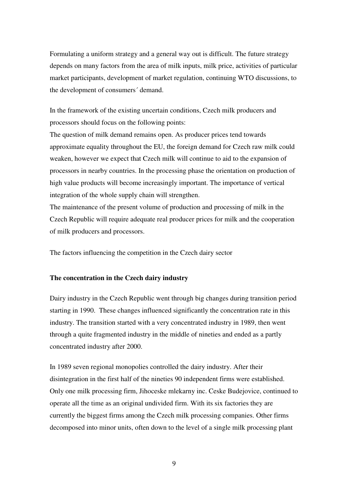Formulating a uniform strategy and a general way out is difficult. The future strategy depends on many factors from the area of milk inputs, milk price, activities of particular market participants, development of market regulation, continuing WTO discussions, to the development of consumers´ demand.

In the framework of the existing uncertain conditions, Czech milk producers and processors should focus on the following points:

The question of milk demand remains open. As producer prices tend towards approximate equality throughout the EU, the foreign demand for Czech raw milk could weaken, however we expect that Czech milk will continue to aid to the expansion of processors in nearby countries. In the processing phase the orientation on production of high value products will become increasingly important. The importance of vertical integration of the whole supply chain will strengthen.

The maintenance of the present volume of production and processing of milk in the Czech Republic will require adequate real producer prices for milk and the cooperation of milk producers and processors.

The factors influencing the competition in the Czech dairy sector

#### **The concentration in the Czech dairy industry**

Dairy industry in the Czech Republic went through big changes during transition period starting in 1990. These changes influenced significantly the concentration rate in this industry. The transition started with a very concentrated industry in 1989, then went through a quite fragmented industry in the middle of nineties and ended as a partly concentrated industry after 2000.

In 1989 seven regional monopolies controlled the dairy industry. After their disintegration in the first half of the nineties 90 independent firms were established. Only one milk processing firm, Jihoceske mlekarny inc. Ceske Budejovice, continued to operate all the time as an original undivided firm. With its six factories they are currently the biggest firms among the Czech milk processing companies. Other firms decomposed into minor units, often down to the level of a single milk processing plant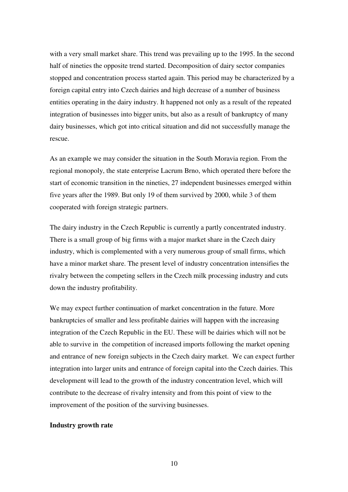with a very small market share. This trend was prevailing up to the 1995. In the second half of nineties the opposite trend started. Decomposition of dairy sector companies stopped and concentration process started again. This period may be characterized by a foreign capital entry into Czech dairies and high decrease of a number of business entities operating in the dairy industry. It happened not only as a result of the repeated integration of businesses into bigger units, but also as a result of bankruptcy of many dairy businesses, which got into critical situation and did not successfully manage the rescue.

As an example we may consider the situation in the South Moravia region. From the regional monopoly, the state enterprise Lacrum Brno, which operated there before the start of economic transition in the nineties, 27 independent businesses emerged within five years after the 1989. But only 19 of them survived by 2000, while 3 of them cooperated with foreign strategic partners.

The dairy industry in the Czech Republic is currently a partly concentrated industry. There is a small group of big firms with a major market share in the Czech dairy industry, which is complemented with a very numerous group of small firms, which have a minor market share. The present level of industry concentration intensifies the rivalry between the competing sellers in the Czech milk processing industry and cuts down the industry profitability.

We may expect further continuation of market concentration in the future. More bankruptcies of smaller and less profitable dairies will happen with the increasing integration of the Czech Republic in the EU. These will be dairies which will not be able to survive in the competition of increased imports following the market opening and entrance of new foreign subjects in the Czech dairy market. We can expect further integration into larger units and entrance of foreign capital into the Czech dairies. This development will lead to the growth of the industry concentration level, which will contribute to the decrease of rivalry intensity and from this point of view to the improvement of the position of the surviving businesses.

#### **Industry growth rate**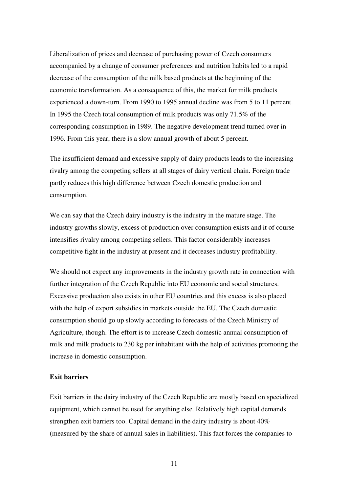Liberalization of prices and decrease of purchasing power of Czech consumers accompanied by a change of consumer preferences and nutrition habits led to a rapid decrease of the consumption of the milk based products at the beginning of the economic transformation. As a consequence of this, the market for milk products experienced a down-turn. From 1990 to 1995 annual decline was from 5 to 11 percent. In 1995 the Czech total consumption of milk products was only 71.5% of the corresponding consumption in 1989. The negative development trend turned over in 1996. From this year, there is a slow annual growth of about 5 percent.

The insufficient demand and excessive supply of dairy products leads to the increasing rivalry among the competing sellers at all stages of dairy vertical chain. Foreign trade partly reduces this high difference between Czech domestic production and consumption.

We can say that the Czech dairy industry is the industry in the mature stage. The industry growths slowly, excess of production over consumption exists and it of course intensifies rivalry among competing sellers. This factor considerably increases competitive fight in the industry at present and it decreases industry profitability.

We should not expect any improvements in the industry growth rate in connection with further integration of the Czech Republic into EU economic and social structures. Excessive production also exists in other EU countries and this excess is also placed with the help of export subsidies in markets outside the EU. The Czech domestic consumption should go up slowly according to forecasts of the Czech Ministry of Agriculture, though. The effort is to increase Czech domestic annual consumption of milk and milk products to 230 kg per inhabitant with the help of activities promoting the increase in domestic consumption.

#### **Exit barriers**

Exit barriers in the dairy industry of the Czech Republic are mostly based on specialized equipment, which cannot be used for anything else. Relatively high capital demands strengthen exit barriers too. Capital demand in the dairy industry is about 40% (measured by the share of annual sales in liabilities). This fact forces the companies to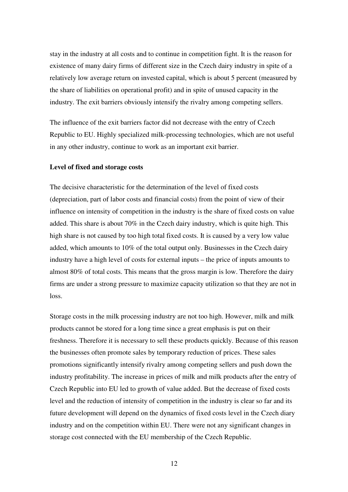stay in the industry at all costs and to continue in competition fight. It is the reason for existence of many dairy firms of different size in the Czech dairy industry in spite of a relatively low average return on invested capital, which is about 5 percent (measured by the share of liabilities on operational profit) and in spite of unused capacity in the industry. The exit barriers obviously intensify the rivalry among competing sellers.

The influence of the exit barriers factor did not decrease with the entry of Czech Republic to EU. Highly specialized milk-processing technologies, which are not useful in any other industry, continue to work as an important exit barrier.

#### **Level of fixed and storage costs**

The decisive characteristic for the determination of the level of fixed costs (depreciation, part of labor costs and financial costs) from the point of view of their influence on intensity of competition in the industry is the share of fixed costs on value added. This share is about 70% in the Czech dairy industry, which is quite high. This high share is not caused by too high total fixed costs. It is caused by a very low value added, which amounts to 10% of the total output only. Businesses in the Czech dairy industry have a high level of costs for external inputs – the price of inputs amounts to almost 80% of total costs. This means that the gross margin is low. Therefore the dairy firms are under a strong pressure to maximize capacity utilization so that they are not in loss.

Storage costs in the milk processing industry are not too high. However, milk and milk products cannot be stored for a long time since a great emphasis is put on their freshness. Therefore it is necessary to sell these products quickly. Because of this reason the businesses often promote sales by temporary reduction of prices. These sales promotions significantly intensify rivalry among competing sellers and push down the industry profitability. The increase in prices of milk and milk products after the entry of Czech Republic into EU led to growth of value added. But the decrease of fixed costs level and the reduction of intensity of competition in the industry is clear so far and its future development will depend on the dynamics of fixed costs level in the Czech diary industry and on the competition within EU. There were not any significant changes in storage cost connected with the EU membership of the Czech Republic.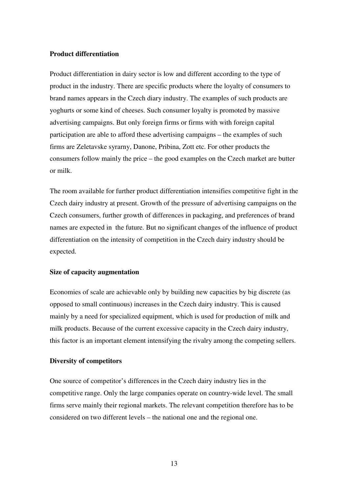#### **Product differentiation**

Product differentiation in dairy sector is low and different according to the type of product in the industry. There are specific products where the loyalty of consumers to brand names appears in the Czech diary industry. The examples of such products are yoghurts or some kind of cheeses. Such consumer loyalty is promoted by massive advertising campaigns. But only foreign firms or firms with with foreign capital participation are able to afford these advertising campaigns – the examples of such firms are Zeletavske syrarny, Danone, Pribina, Zott etc. For other products the consumers follow mainly the price – the good examples on the Czech market are butter or milk.

The room available for further product differentiation intensifies competitive fight in the Czech dairy industry at present. Growth of the pressure of advertising campaigns on the Czech consumers, further growth of differences in packaging, and preferences of brand names are expected in the future. But no significant changes of the influence of product differentiation on the intensity of competition in the Czech dairy industry should be expected.

#### **Size of capacity augmentation**

Economies of scale are achievable only by building new capacities by big discrete (as opposed to small continuous) increases in the Czech dairy industry. This is caused mainly by a need for specialized equipment, which is used for production of milk and milk products. Because of the current excessive capacity in the Czech dairy industry, this factor is an important element intensifying the rivalry among the competing sellers.

#### **Diversity of competitors**

One source of competitor's differences in the Czech dairy industry lies in the competitive range. Only the large companies operate on country-wide level. The small firms serve mainly their regional markets. The relevant competition therefore has to be considered on two different levels – the national one and the regional one.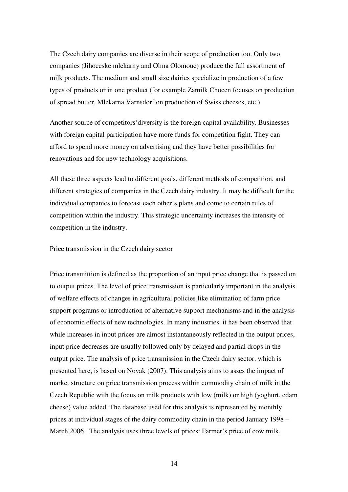The Czech dairy companies are diverse in their scope of production too. Only two companies (Jihoceske mlekarny and Olma Olomouc) produce the full assortment of milk products. The medium and small size dairies specialize in production of a few types of products or in one product (for example Zamilk Chocen focuses on production of spread butter, Mlekarna Varnsdorf on production of Swiss cheeses, etc.)

Another source of competitors'diversity is the foreign capital availability. Businesses with foreign capital participation have more funds for competition fight. They can afford to spend more money on advertising and they have better possibilities for renovations and for new technology acquisitions.

All these three aspects lead to different goals, different methods of competition, and different strategies of companies in the Czech dairy industry. It may be difficult for the individual companies to forecast each other's plans and come to certain rules of competition within the industry. This strategic uncertainty increases the intensity of competition in the industry.

Price transmission in the Czech dairy sector

Price transmittion is defined as the proportion of an input price change that is passed on to output prices. The level of price transmission is particularly important in the analysis of welfare effects of changes in agricultural policies like elimination of farm price support programs or introduction of alternative support mechanisms and in the analysis of economic effects of new technologies. In many industries it has been observed that while increases in input prices are almost instantaneously reflected in the output prices, input price decreases are usually followed only by delayed and partial drops in the output price. The analysis of price transmission in the Czech dairy sector, which is presented here, is based on Novak (2007). This analysis aims to asses the impact of market structure on price transmission process within commodity chain of milk in the Czech Republic with the focus on milk products with low (milk) or high (yoghurt, edam cheese) value added. The database used for this analysis is represented by monthly prices at individual stages of the dairy commodity chain in the period January 1998 – March 2006. The analysis uses three levels of prices: Farmer's price of cow milk,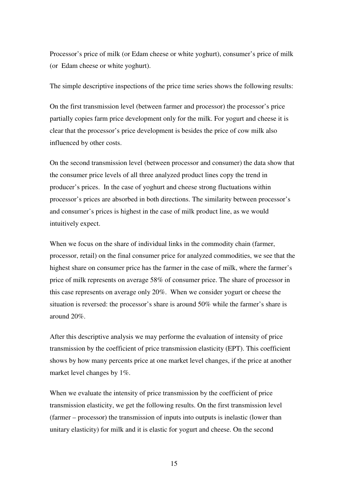Processor's price of milk (or Edam cheese or white yoghurt), consumer's price of milk (or Edam cheese or white yoghurt).

The simple descriptive inspections of the price time series shows the following results:

On the first transmission level (between farmer and processor) the processor's price partially copies farm price development only for the milk. For yogurt and cheese it is clear that the processor's price development is besides the price of cow milk also influenced by other costs.

On the second transmission level (between processor and consumer) the data show that the consumer price levels of all three analyzed product lines copy the trend in producer's prices. In the case of yoghurt and cheese strong fluctuations within processor's prices are absorbed in both directions. The similarity between processor's and consumer's prices is highest in the case of milk product line, as we would intuitively expect.

When we focus on the share of individual links in the commodity chain (farmer, processor, retail) on the final consumer price for analyzed commodities, we see that the highest share on consumer price has the farmer in the case of milk, where the farmer's price of milk represents on average 58% of consumer price. The share of processor in this case represents on average only 20%. When we consider yogurt or cheese the situation is reversed: the processor's share is around 50% while the farmer's share is around 20%.

After this descriptive analysis we may performe the evaluation of intensity of price transmission by the coefficient of price transmission elasticity (EPT). This coefficient shows by how many percents price at one market level changes, if the price at another market level changes by 1%.

When we evaluate the intensity of price transmission by the coefficient of price transmission elasticity, we get the following results. On the first transmission level (farmer – processor) the transmission of inputs into outputs is inelastic (lower than unitary elasticity) for milk and it is elastic for yogurt and cheese. On the second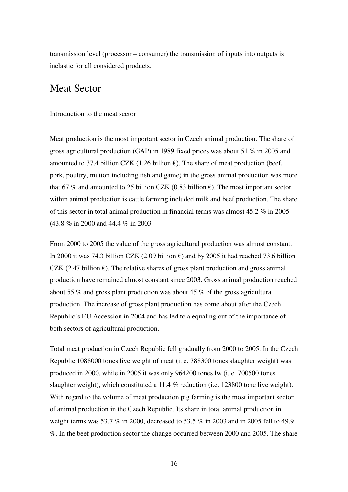transmission level (processor – consumer) the transmission of inputs into outputs is inelastic for all considered products.

# Meat Sector

Introduction to the meat sector

Meat production is the most important sector in Czech animal production. The share of gross agricultural production (GAP) in 1989 fixed prices was about 51 % in 2005 and amounted to 37.4 billion CZK (1.26 billion  $\epsilon$ ). The share of meat production (beef, pork, poultry, mutton including fish and game) in the gross animal production was more that 67 % and amounted to 25 billion CZK (0.83 billion  $\epsilon$ ). The most important sector within animal production is cattle farming included milk and beef production. The share of this sector in total animal production in financial terms was almost 45.2 % in 2005 (43.8 % in 2000 and 44.4 % in 2003

From 2000 to 2005 the value of the gross agricultural production was almost constant. In 2000 it was 74.3 billion CZK (2.09 billion  $\epsilon$ ) and by 2005 it had reached 73.6 billion CZK (2.47 billion  $\epsilon$ ). The relative shares of gross plant production and gross animal production have remained almost constant since 2003. Gross animal production reached about 55 % and gross plant production was about 45 % of the gross agricultural production. The increase of gross plant production has come about after the Czech Republic's EU Accession in 2004 and has led to a equaling out of the importance of both sectors of agricultural production.

Total meat production in Czech Republic fell gradually from 2000 to 2005. In the Czech Republic 1088000 tones live weight of meat (i. e. 788300 tones slaughter weight) was produced in 2000, while in 2005 it was only 964200 tones lw (i. e. 700500 tones slaughter weight), which constituted a 11.4 % reduction (i.e. 123800 tone live weight). With regard to the volume of meat production pig farming is the most important sector of animal production in the Czech Republic. Its share in total animal production in weight terms was 53.7 % in 2000, decreased to 53.5 % in 2003 and in 2005 fell to 49.9 %. In the beef production sector the change occurred between 2000 and 2005. The share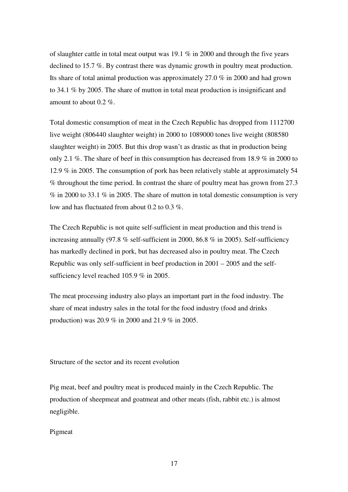of slaughter cattle in total meat output was 19.1 % in 2000 and through the five years declined to 15.7 %. By contrast there was dynamic growth in poultry meat production. Its share of total animal production was approximately 27.0 % in 2000 and had grown to 34.1 % by 2005. The share of mutton in total meat production is insignificant and amount to about 0.2 %.

Total domestic consumption of meat in the Czech Republic has dropped from 1112700 live weight (806440 slaughter weight) in 2000 to 1089000 tones live weight (808580 slaughter weight) in 2005. But this drop wasn't as drastic as that in production being only 2.1 %. The share of beef in this consumption has decreased from 18.9 % in 2000 to 12.9 % in 2005. The consumption of pork has been relatively stable at approximately 54 % throughout the time period. In contrast the share of poultry meat has grown from 27.3  $\%$  in 2000 to 33.1  $\%$  in 2005. The share of mutton in total domestic consumption is very low and has fluctuated from about 0.2 to 0.3 %.

The Czech Republic is not quite self-sufficient in meat production and this trend is increasing annually (97.8 % self-sufficient in 2000, 86.8 % in 2005). Self-sufficiency has markedly declined in pork, but has decreased also in poultry meat. The Czech Republic was only self-sufficient in beef production in 2001 – 2005 and the selfsufficiency level reached 105.9 % in 2005.

The meat processing industry also plays an important part in the food industry. The share of meat industry sales in the total for the food industry (food and drinks production) was 20.9 % in 2000 and 21.9 % in 2005.

Structure of the sector and its recent evolution

Pig meat, beef and poultry meat is produced mainly in the Czech Republic. The production of sheepmeat and goatmeat and other meats (fish, rabbit etc.) is almost negligible.

Pigmeat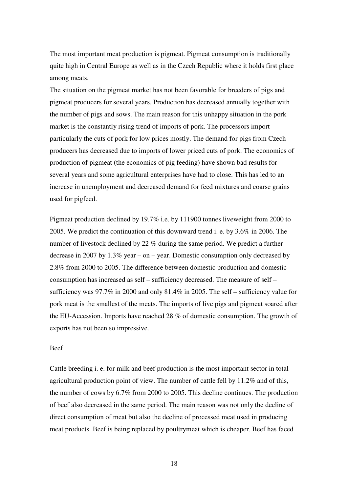The most important meat production is pigmeat. Pigmeat consumption is traditionally quite high in Central Europe as well as in the Czech Republic where it holds first place among meats.

The situation on the pigmeat market has not been favorable for breeders of pigs and pigmeat producers for several years. Production has decreased annually together with the number of pigs and sows. The main reason for this unhappy situation in the pork market is the constantly rising trend of imports of pork. The processors import particularly the cuts of pork for low prices mostly. The demand for pigs from Czech producers has decreased due to imports of lower priced cuts of pork. The economics of production of pigmeat (the economics of pig feeding) have shown bad results for several years and some agricultural enterprises have had to close. This has led to an increase in unemployment and decreased demand for feed mixtures and coarse grains used for pigfeed.

Pigmeat production declined by 19.7% i.e. by 111900 tonnes liveweight from 2000 to 2005. We predict the continuation of this downward trend i. e. by 3.6% in 2006. The number of livestock declined by 22 % during the same period. We predict a further decrease in 2007 by 1.3% year – on – year. Domestic consumption only decreased by 2.8% from 2000 to 2005. The difference between domestic production and domestic consumption has increased as self – sufficiency decreased. The measure of self – sufficiency was 97.7% in 2000 and only 81.4% in 2005. The self – sufficiency value for pork meat is the smallest of the meats. The imports of live pigs and pigmeat soared after the EU-Accession. Imports have reached 28 % of domestic consumption. The growth of exports has not been so impressive.

#### Beef

Cattle breeding i. e. for milk and beef production is the most important sector in total agricultural production point of view. The number of cattle fell by 11.2% and of this, the number of cows by 6.7% from 2000 to 2005. This decline continues. The production of beef also decreased in the same period. The main reason was not only the decline of direct consumption of meat but also the decline of processed meat used in producing meat products. Beef is being replaced by poultrymeat which is cheaper. Beef has faced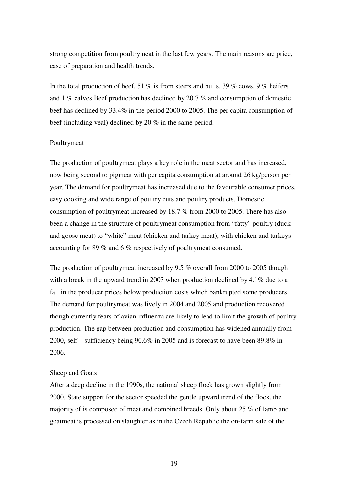strong competition from poultrymeat in the last few years. The main reasons are price, ease of preparation and health trends.

In the total production of beef, 51 % is from steers and bulls, 39 % cows, 9 % heifers and 1 % calves Beef production has declined by 20.7 % and consumption of domestic beef has declined by 33.4% in the period 2000 to 2005. The per capita consumption of beef (including veal) declined by 20 % in the same period.

#### Poultrymeat

The production of poultrymeat plays a key role in the meat sector and has increased, now being second to pigmeat with per capita consumption at around 26 kg/person per year. The demand for poultrymeat has increased due to the favourable consumer prices, easy cooking and wide range of poultry cuts and poultry products. Domestic consumption of poultrymeat increased by 18.7 % from 2000 to 2005. There has also been a change in the structure of poultrymeat consumption from "fatty" poultry (duck and goose meat) to "white" meat (chicken and turkey meat), with chicken and turkeys accounting for 89 % and 6 % respectively of poultrymeat consumed.

The production of poultrymeat increased by 9.5 % overall from 2000 to 2005 though with a break in the upward trend in 2003 when production declined by 4.1% due to a fall in the producer prices below production costs which bankrupted some producers. The demand for poultrymeat was lively in 2004 and 2005 and production recovered though currently fears of avian influenza are likely to lead to limit the growth of poultry production. The gap between production and consumption has widened annually from 2000, self – sufficiency being 90.6% in 2005 and is forecast to have been 89.8% in 2006.

#### Sheep and Goats

After a deep decline in the 1990s, the national sheep flock has grown slightly from 2000. State support for the sector speeded the gentle upward trend of the flock, the majority of is composed of meat and combined breeds. Only about 25 % of lamb and goatmeat is processed on slaughter as in the Czech Republic the on-farm sale of the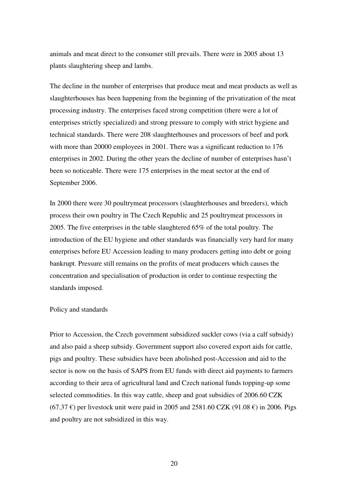animals and meat direct to the consumer still prevails. There were in 2005 about 13 plants slaughtering sheep and lambs.

The decline in the number of enterprises that produce meat and meat products as well as slaughterhouses has been happening from the beginning of the privatization of the meat processing industry. The enterprises faced strong competition (there were a lot of enterprises strictly specialized) and strong pressure to comply with strict hygiene and technical standards. There were 208 slaughterhouses and processors of beef and pork with more than 20000 employees in 2001. There was a significant reduction to 176 enterprises in 2002. During the other years the decline of number of enterprises hasn't been so noticeable. There were 175 enterprises in the meat sector at the end of September 2006.

In 2000 there were 30 poultrymeat processors (slaughterhouses and breeders), which process their own poultry in The Czech Republic and 25 poultrymeat processors in 2005. The five enterprises in the table slaughtered 65% of the total poultry. The introduction of the EU hygiene and other standards was financially very hard for many enterprises before EU Accession leading to many producers getting into debt or going bankrupt. Pressure still remains on the profits of meat producers which causes the concentration and specialisation of production in order to continue respecting the standards imposed.

#### Policy and standards

Prior to Accession, the Czech government subsidized suckler cows (via a calf subsidy) and also paid a sheep subsidy. Government support also covered export aids for cattle, pigs and poultry. These subsidies have been abolished post-Accession and aid to the sector is now on the basis of SAPS from EU funds with direct aid payments to farmers according to their area of agricultural land and Czech national funds topping-up some selected commodities. In this way cattle, sheep and goat subsidies of 2006.60 CZK (67.37  $\epsilon$ ) per livestock unit were paid in 2005 and 2581.60 CZK (91.08  $\epsilon$ ) in 2006. Pigs and poultry are not subsidized in this way.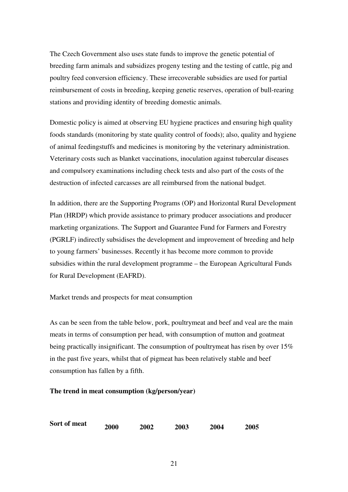The Czech Government also uses state funds to improve the genetic potential of breeding farm animals and subsidizes progeny testing and the testing of cattle, pig and poultry feed conversion efficiency. These irrecoverable subsidies are used for partial reimbursement of costs in breeding, keeping genetic reserves, operation of bull-rearing stations and providing identity of breeding domestic animals.

Domestic policy is aimed at observing EU hygiene practices and ensuring high quality foods standards (monitoring by state quality control of foods); also, quality and hygiene of animal feedingstuffs and medicines is monitoring by the veterinary administration. Veterinary costs such as blanket vaccinations, inoculation against tubercular diseases and compulsory examinations including check tests and also part of the costs of the destruction of infected carcasses are all reimbursed from the national budget.

In addition, there are the Supporting Programs (OP) and Horizontal Rural Development Plan (HRDP) which provide assistance to primary producer associations and producer marketing organizations. The Support and Guarantee Fund for Farmers and Forestry (PGRLF) indirectly subsidises the development and improvement of breeding and help to young farmers' businesses. Recently it has become more common to provide subsidies within the rural development programme – the European Agricultural Funds for Rural Development (EAFRD).

## Market trends and prospects for meat consumption

As can be seen from the table below, pork, poultrymeat and beef and veal are the main meats in terms of consumption per head, with consumption of mutton and goatmeat being practically insignificant. The consumption of poultrymeat has risen by over 15% in the past five years, whilst that of pigmeat has been relatively stable and beef consumption has fallen by a fifth.

#### **The trend in meat consumption (kg/person/year)**

| Sort of meat | <b>2000</b> | <b>2002</b> | 2003 | 2004 | 2005 |
|--------------|-------------|-------------|------|------|------|
|              |             |             |      |      |      |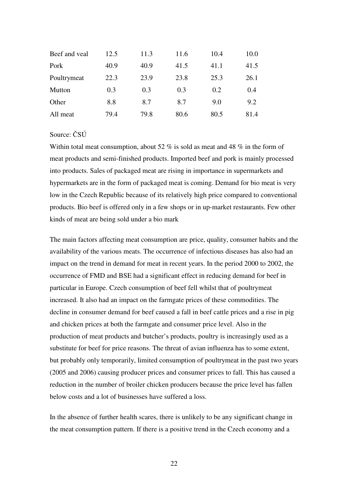| Beef and yeal | 12.5 | 11.3 | 11.6 | 10.4 | 10.0 |
|---------------|------|------|------|------|------|
| Pork          | 40.9 | 40.9 | 41.5 | 41.1 | 41.5 |
| Poultrymeat   | 22.3 | 23.9 | 23.8 | 25.3 | 26.1 |
| Mutton        | 0.3  | 0.3  | 0.3  | 0.2  | 0.4  |
| Other         | 8.8  | 8.7  | 8.7  | 9.0  | 9.2  |
| All meat      | 79.4 | 79.8 | 80.6 | 80.5 | 81.4 |

### Source: ČSÚ

Within total meat consumption, about 52 % is sold as meat and 48 % in the form of meat products and semi-finished products. Imported beef and pork is mainly processed into products. Sales of packaged meat are rising in importance in supermarkets and hypermarkets are in the form of packaged meat is coming. Demand for bio meat is very low in the Czech Republic because of its relatively high price compared to conventional products. Bio beef is offered only in a few shops or in up-market restaurants. Few other kinds of meat are being sold under a bio mark

The main factors affecting meat consumption are price, quality, consumer habits and the availability of the various meats. The occurrence of infectious diseases has also had an impact on the trend in demand for meat in recent years. In the period 2000 to 2002, the occurrence of FMD and BSE had a significant effect in reducing demand for beef in particular in Europe. Czech consumption of beef fell whilst that of poultrymeat increased. It also had an impact on the farmgate prices of these commodities. The decline in consumer demand for beef caused a fall in beef cattle prices and a rise in pig and chicken prices at both the farmgate and consumer price level. Also in the production of meat products and butcher's products, poultry is increasingly used as a substitute for beef for price reasons. The threat of avian influenza has to some extent, but probably only temporarily, limited consumption of poultrymeat in the past two years (2005 and 2006) causing producer prices and consumer prices to fall. This has caused a reduction in the number of broiler chicken producers because the price level has fallen below costs and a lot of businesses have suffered a loss.

In the absence of further health scares, there is unlikely to be any significant change in the meat consumption pattern. If there is a positive trend in the Czech economy and a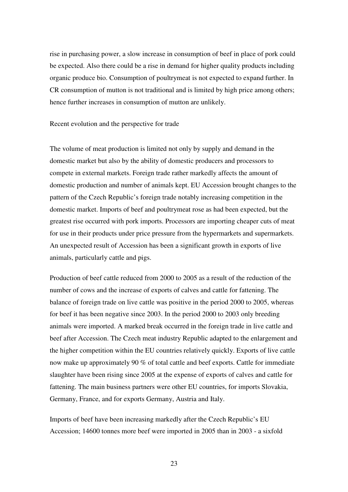rise in purchasing power, a slow increase in consumption of beef in place of pork could be expected. Also there could be a rise in demand for higher quality products including organic produce bio. Consumption of poultrymeat is not expected to expand further. In CR consumption of mutton is not traditional and is limited by high price among others; hence further increases in consumption of mutton are unlikely.

Recent evolution and the perspective for trade

The volume of meat production is limited not only by supply and demand in the domestic market but also by the ability of domestic producers and processors to compete in external markets. Foreign trade rather markedly affects the amount of domestic production and number of animals kept. EU Accession brought changes to the pattern of the Czech Republic's foreign trade notably increasing competition in the domestic market. Imports of beef and poultrymeat rose as had been expected, but the greatest rise occurred with pork imports. Processors are importing cheaper cuts of meat for use in their products under price pressure from the hypermarkets and supermarkets. An unexpected result of Accession has been a significant growth in exports of live animals, particularly cattle and pigs.

Production of beef cattle reduced from 2000 to 2005 as a result of the reduction of the number of cows and the increase of exports of calves and cattle for fattening. The balance of foreign trade on live cattle was positive in the period 2000 to 2005, whereas for beef it has been negative since 2003. In the period 2000 to 2003 only breeding animals were imported. A marked break occurred in the foreign trade in live cattle and beef after Accession. The Czech meat industry Republic adapted to the enlargement and the higher competition within the EU countries relatively quickly. Exports of live cattle now make up approximately 90 % of total cattle and beef exports. Cattle for immediate slaughter have been rising since 2005 at the expense of exports of calves and cattle for fattening. The main business partners were other EU countries, for imports Slovakia, Germany, France, and for exports Germany, Austria and Italy.

Imports of beef have been increasing markedly after the Czech Republic's EU Accession; 14600 tonnes more beef were imported in 2005 than in 2003 - a sixfold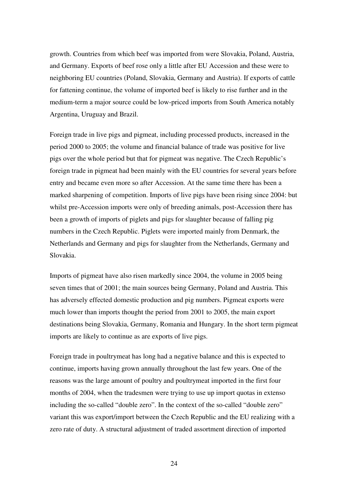growth. Countries from which beef was imported from were Slovakia, Poland, Austria, and Germany. Exports of beef rose only a little after EU Accession and these were to neighboring EU countries (Poland, Slovakia, Germany and Austria). If exports of cattle for fattening continue, the volume of imported beef is likely to rise further and in the medium-term a major source could be low-priced imports from South America notably Argentina, Uruguay and Brazil.

Foreign trade in live pigs and pigmeat, including processed products, increased in the period 2000 to 2005; the volume and financial balance of trade was positive for live pigs over the whole period but that for pigmeat was negative. The Czech Republic's foreign trade in pigmeat had been mainly with the EU countries for several years before entry and became even more so after Accession. At the same time there has been a marked sharpening of competition. Imports of live pigs have been rising since 2004: but whilst pre-Accession imports were only of breeding animals, post-Accession there has been a growth of imports of piglets and pigs for slaughter because of falling pig numbers in the Czech Republic. Piglets were imported mainly from Denmark, the Netherlands and Germany and pigs for slaughter from the Netherlands, Germany and Slovakia.

Imports of pigmeat have also risen markedly since 2004, the volume in 2005 being seven times that of 2001; the main sources being Germany, Poland and Austria. This has adversely effected domestic production and pig numbers. Pigmeat exports were much lower than imports thought the period from 2001 to 2005, the main export destinations being Slovakia, Germany, Romania and Hungary. In the short term pigmeat imports are likely to continue as are exports of live pigs.

Foreign trade in poultrymeat has long had a negative balance and this is expected to continue, imports having grown annually throughout the last few years. One of the reasons was the large amount of poultry and poultrymeat imported in the first four months of 2004, when the tradesmen were trying to use up import quotas in extenso including the so-called "double zero". In the context of the so-called "double zero" variant this was export/import between the Czech Republic and the EU realizing with a zero rate of duty. A structural adjustment of traded assortment direction of imported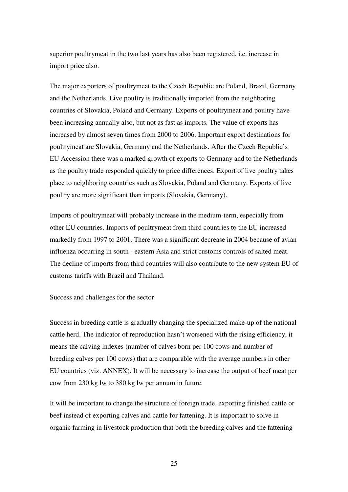superior poultrymeat in the two last years has also been registered, i.e. increase in import price also.

The major exporters of poultrymeat to the Czech Republic are Poland, Brazil, Germany and the Netherlands. Live poultry is traditionally imported from the neighboring countries of Slovakia, Poland and Germany. Exports of poultrymeat and poultry have been increasing annually also, but not as fast as imports. The value of exports has increased by almost seven times from 2000 to 2006. Important export destinations for poultrymeat are Slovakia, Germany and the Netherlands. After the Czech Republic's EU Accession there was a marked growth of exports to Germany and to the Netherlands as the poultry trade responded quickly to price differences. Export of live poultry takes place to neighboring countries such as Slovakia, Poland and Germany. Exports of live poultry are more significant than imports (Slovakia, Germany).

Imports of poultrymeat will probably increase in the medium-term, especially from other EU countries. Imports of poultrymeat from third countries to the EU increased markedly from 1997 to 2001. There was a significant decrease in 2004 because of avian influenza occurring in south - eastern Asia and strict customs controls of salted meat. The decline of imports from third countries will also contribute to the new system EU of customs tariffs with Brazil and Thailand.

Success and challenges for the sector

Success in breeding cattle is gradually changing the specialized make-up of the national cattle herd. The indicator of reproduction hasn't worsened with the rising efficiency, it means the calving indexes (number of calves born per 100 cows and number of breeding calves per 100 cows) that are comparable with the average numbers in other EU countries (viz. ANNEX). It will be necessary to increase the output of beef meat per cow from 230 kg lw to 380 kg lw per annum in future.

It will be important to change the structure of foreign trade, exporting finished cattle or beef instead of exporting calves and cattle for fattening. It is important to solve in organic farming in livestock production that both the breeding calves and the fattening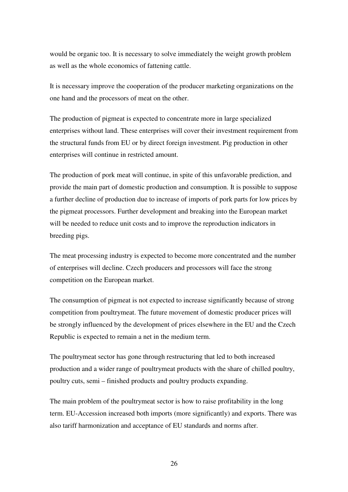would be organic too. It is necessary to solve immediately the weight growth problem as well as the whole economics of fattening cattle.

It is necessary improve the cooperation of the producer marketing organizations on the one hand and the processors of meat on the other.

The production of pigmeat is expected to concentrate more in large specialized enterprises without land. These enterprises will cover their investment requirement from the structural funds from EU or by direct foreign investment. Pig production in other enterprises will continue in restricted amount.

The production of pork meat will continue, in spite of this unfavorable prediction, and provide the main part of domestic production and consumption. It is possible to suppose a further decline of production due to increase of imports of pork parts for low prices by the pigmeat processors. Further development and breaking into the European market will be needed to reduce unit costs and to improve the reproduction indicators in breeding pigs.

The meat processing industry is expected to become more concentrated and the number of enterprises will decline. Czech producers and processors will face the strong competition on the European market.

The consumption of pigmeat is not expected to increase significantly because of strong competition from poultrymeat. The future movement of domestic producer prices will be strongly influenced by the development of prices elsewhere in the EU and the Czech Republic is expected to remain a net in the medium term.

The poultrymeat sector has gone through restructuring that led to both increased production and a wider range of poultrymeat products with the share of chilled poultry, poultry cuts, semi – finished products and poultry products expanding.

The main problem of the poultrymeat sector is how to raise profitability in the long term. EU-Accession increased both imports (more significantly) and exports. There was also tariff harmonization and acceptance of EU standards and norms after.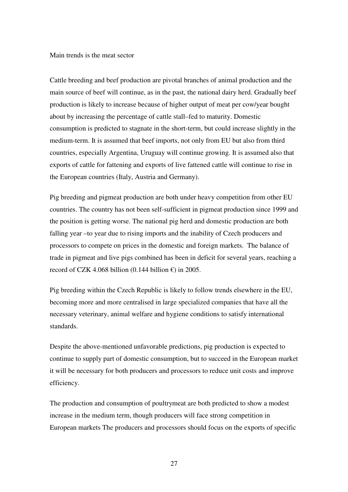Main trends is the meat sector

Cattle breeding and beef production are pivotal branches of animal production and the main source of beef will continue, as in the past, the national dairy herd. Gradually beef production is likely to increase because of higher output of meat per cow/year bought about by increasing the percentage of cattle stall–fed to maturity. Domestic consumption is predicted to stagnate in the short-term, but could increase slightly in the medium-term. It is assumed that beef imports, not only from EU but also from third countries, especially Argentina, Uruguay will continue growing. It is assumed also that exports of cattle for fattening and exports of live fattened cattle will continue to rise in the European countries (Italy, Austria and Germany).

Pig breeding and pigmeat production are both under heavy competition from other EU countries. The country has not been self-sufficient in pigmeat production since 1999 and the position is getting worse. The national pig herd and domestic production are both falling year –to year due to rising imports and the inability of Czech producers and processors to compete on prices in the domestic and foreign markets. The balance of trade in pigmeat and live pigs combined has been in deficit for several years, reaching a record of CZK 4.068 billion (0.144 billion  $\epsilon$ ) in 2005.

Pig breeding within the Czech Republic is likely to follow trends elsewhere in the EU, becoming more and more centralised in large specialized companies that have all the necessary veterinary, animal welfare and hygiene conditions to satisfy international standards.

Despite the above-mentioned unfavorable predictions, pig production is expected to continue to supply part of domestic consumption, but to succeed in the European market it will be necessary for both producers and processors to reduce unit costs and improve efficiency.

The production and consumption of poultrymeat are both predicted to show a modest increase in the medium term, though producers will face strong competition in European markets The producers and processors should focus on the exports of specific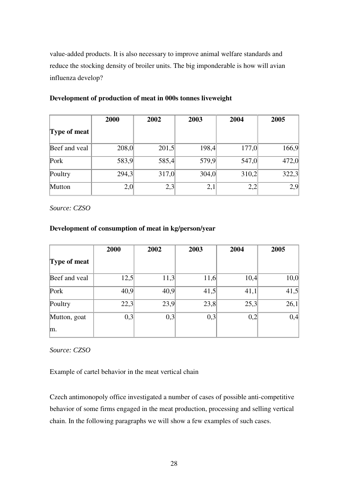value-added products. It is also necessary to improve animal welfare standards and reduce the stocking density of broiler units. The big imponderable is how will avian influenza develop?

|               | 2000  | 2002  | 2003  | 2004  | 2005  |
|---------------|-------|-------|-------|-------|-------|
| Type of meat  |       |       |       |       |       |
| Beef and veal | 208,0 | 201,5 | 198,4 | 177,0 | 166,9 |
| Pork          | 583,9 | 585,4 | 579,9 | 547,0 | 472,0 |
| Poultry       | 294,3 | 317,0 | 304,0 | 310,2 | 322,3 |
| Mutton        | 2,0   | 2,3   | 2,1   | 2,2   | 2,9   |

#### **Development of production of meat in 000s tonnes liveweight**

*Source: CZSO*

## **Development of consumption of meat in kg/person/year**

|               | 2000 | 2002 | 2003 | 2004 | 2005 |
|---------------|------|------|------|------|------|
| Type of meat  |      |      |      |      |      |
| Beef and yeal | 12,5 | 11,3 | 11,6 | 10,4 | 10,0 |
| Pork          | 40,9 | 40,9 | 41,5 | 41,1 | 41,5 |
| Poultry       | 22,3 | 23,9 | 23,8 | 25,3 | 26,1 |
| Mutton, goat  | 0,3  | 0,3  | 0,3  | 0,2  | 0,4  |
| m.            |      |      |      |      |      |

*Source: CZSO* 

Example of cartel behavior in the meat vertical chain

Czech antimonopoly office investigated a number of cases of possible anti-competitive behavior of some firms engaged in the meat production, processing and selling vertical chain. In the following paragraphs we will show a few examples of such cases.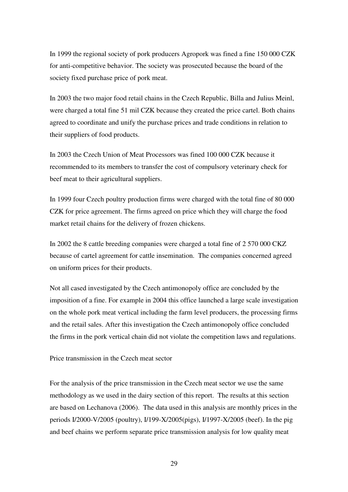In 1999 the regional society of pork producers Agropork was fined a fine 150 000 CZK for anti-competitive behavior. The society was prosecuted because the board of the society fixed purchase price of pork meat.

In 2003 the two major food retail chains in the Czech Republic, Billa and Julius Meinl, were charged a total fine 51 mil CZK because they created the price cartel. Both chains agreed to coordinate and unify the purchase prices and trade conditions in relation to their suppliers of food products.

In 2003 the Czech Union of Meat Processors was fined 100 000 CZK because it recommended to its members to transfer the cost of compulsory veterinary check for beef meat to their agricultural suppliers.

In 1999 four Czech poultry production firms were charged with the total fine of 80 000 CZK for price agreement. The firms agreed on price which they will charge the food market retail chains for the delivery of frozen chickens.

In 2002 the 8 cattle breeding companies were charged a total fine of 2 570 000 CKZ because of cartel agreement for cattle insemination. The companies concerned agreed on uniform prices for their products.

Not all cased investigated by the Czech antimonopoly office are concluded by the imposition of a fine. For example in 2004 this office launched a large scale investigation on the whole pork meat vertical including the farm level producers, the processing firms and the retail sales. After this investigation the Czech antimonopoly office concluded the firms in the pork vertical chain did not violate the competition laws and regulations.

Price transmission in the Czech meat sector

For the analysis of the price transmission in the Czech meat sector we use the same methodology as we used in the dairy section of this report. The results at this section are based on Lechanova (2006). The data used in this analysis are monthly prices in the periods I/2000-V/2005 (poultry), I/199-X/2005(pigs), I/1997-X/2005 (beef). In the pig and beef chains we perform separate price transmission analysis for low quality meat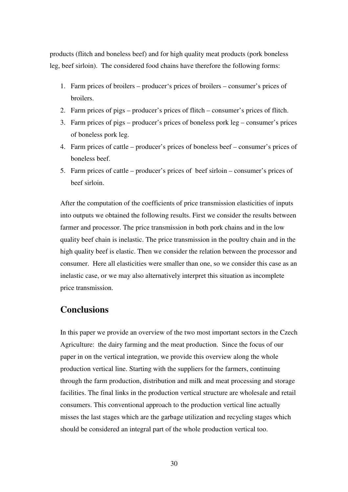products (flitch and boneless beef) and for high quality meat products (pork boneless leg, beef sirloin). The considered food chains have therefore the following forms:

- 1. Farm prices of broilers producer's prices of broilers consumer's prices of broilers.
- 2. Farm prices of pigs producer's prices of flitch consumer's prices of flitch.
- 3. Farm prices of pigs producer's prices of boneless pork leg consumer's prices of boneless pork leg.
- 4. Farm prices of cattle producer's prices of boneless beef consumer's prices of boneless beef.
- 5. Farm prices of cattle producer's prices of beef sirloin consumer's prices of beef sirloin.

After the computation of the coefficients of price transmission elasticities of inputs into outputs we obtained the following results. First we consider the results between farmer and processor. The price transmission in both pork chains and in the low quality beef chain is inelastic. The price transmission in the poultry chain and in the high quality beef is elastic. Then we consider the relation between the processor and consumer. Here all elasticities were smaller than one, so we consider this case as an inelastic case, or we may also alternatively interpret this situation as incomplete price transmission.

## **Conclusions**

In this paper we provide an overview of the two most important sectors in the Czech Agriculture: the dairy farming and the meat production. Since the focus of our paper in on the vertical integration, we provide this overview along the whole production vertical line. Starting with the suppliers for the farmers, continuing through the farm production, distribution and milk and meat processing and storage facilities. The final links in the production vertical structure are wholesale and retail consumers. This conventional approach to the production vertical line actually misses the last stages which are the garbage utilization and recycling stages which should be considered an integral part of the whole production vertical too.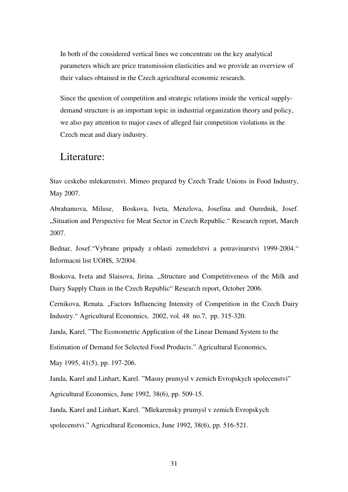In both of the considered vertical lines we concentrate on the key analytical parameters which are price transmission elasticities and we provide an overview of their values obtained in the Czech agricultural economic research.

Since the question of competition and strategic relations inside the vertical supplydemand structure is an important topic in industrial organization theory and policy, we also pay attention to major cases of alleged fair competition violations in the Czech meat and diary industry.

## Literature:

Stav ceskeho mlekarenstvi. Mimeo prepared by Czech Trade Unions in Food Industry, May 2007.

Abrahamova, Miluse, Boskova, Iveta, Menzlova, Josefina and Ourednik, Josef. "Situation and Perspective for Meat Sector in Czech Republic." Research report, March 2007.

Bednar, Josef."Vybrane pripady z oblasti zemedelstvi a potravinarstvi 1999-2004." Informacni list UOHS, 3/2004.

Boskova, Iveta and Slaisova, Jirina. "Structure and Competitiveness of the Milk and Dairy Supply Chain in the Czech Republic" Research report, October 2006.

Cernikova, Renata. "Factors Influencing Intensity of Competition in the Czech Dairy Industry." Agricultural Economics, 2002, vol. 48 no.7, pp. 315-320.

Janda, Karel. "The Econometric Application of the Linear Demand System to the

Estimation of Demand for Selected Food Products." Agricultural Economics,

May 1995, 41(5), pp. 197-206.

Janda, Karel and Linhart, Karel. "Masny prumysl v zemich Evropskych spolecenstvi"

Agricultural Economics, June 1992, 38(6), pp. 509-15.

Janda, Karel and Linhart, Karel. "Mlekarensky prumysl v zemich Evropskych

spolecenstvi." Agricultural Economics, June 1992, 38(6), pp. 516-521.